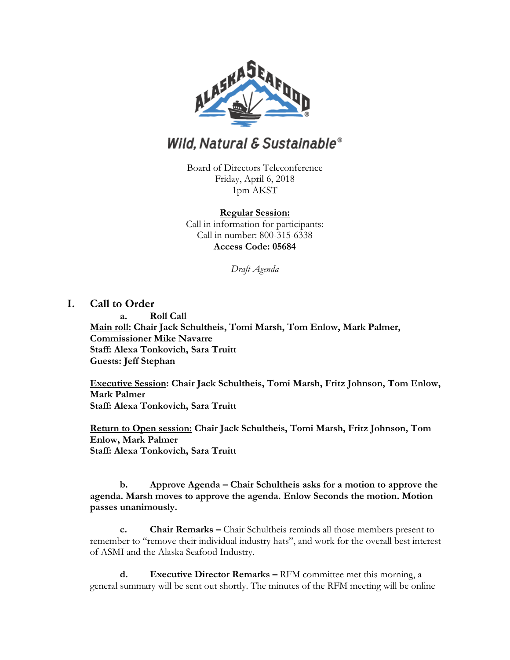

# **Wild, Natural & Sustainable®**

Board of Directors Teleconference Friday, April 6, 2018 1pm AKST

#### **Regular Session:**

Call in information for participants: Call in number: 800-315-6338 **Access Code: 05684**

*Draft Agenda*

# **I. Call to Order**

**a. Roll Call Main roll: Chair Jack Schultheis, Tomi Marsh, Tom Enlow, Mark Palmer, Commissioner Mike Navarre Staff: Alexa Tonkovich, Sara Truitt Guests: Jeff Stephan**

**Executive Session: Chair Jack Schultheis, Tomi Marsh, Fritz Johnson, Tom Enlow, Mark Palmer Staff: Alexa Tonkovich, Sara Truitt** 

**Return to Open session: Chair Jack Schultheis, Tomi Marsh, Fritz Johnson, Tom Enlow, Mark Palmer Staff: Alexa Tonkovich, Sara Truitt** 

**b. Approve Agenda – Chair Schultheis asks for a motion to approve the agenda. Marsh moves to approve the agenda. Enlow Seconds the motion. Motion passes unanimously.** 

**c. Chair Remarks –** Chair Schultheis reminds all those members present to remember to "remove their individual industry hats", and work for the overall best interest of ASMI and the Alaska Seafood Industry.

**d. Executive Director Remarks –** RFM committee met this morning, a general summary will be sent out shortly. The minutes of the RFM meeting will be online